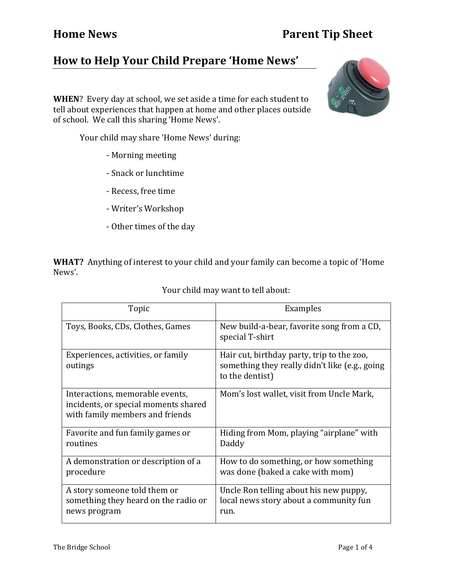## **How to Help Your Child Prepare 'Home News'**

**WHEN**? Every day at school, we set aside a time for each student to tell about experiences that happen at home and other places outside of school. We call this sharing 'Home News'.

Your child may share 'Home News' during:

- Morning meeting
- Snack or lunchtime
- Recess, free time
- Writer's Workshop
- Other times of the day

**WHAT?** Anything of interest to your child and your family can become a topic of 'Home News'. 

| Topic                                                                                                      | Examples                                                                                                        |
|------------------------------------------------------------------------------------------------------------|-----------------------------------------------------------------------------------------------------------------|
| Toys, Books, CDs, Clothes, Games                                                                           | New build-a-bear, favorite song from a CD,<br>special T-shirt                                                   |
| Experiences, activities, or family<br>outings                                                              | Hair cut, birthday party, trip to the zoo,<br>something they really didn't like (e.g., going<br>to the dentist) |
| Interactions, memorable events,<br>incidents, or special moments shared<br>with family members and friends | Mom's lost wallet, visit from Uncle Mark,                                                                       |
| Favorite and fun family games or<br>routines                                                               | Hiding from Mom, playing "airplane" with<br>Daddy                                                               |
| A demonstration or description of a<br>procedure                                                           | How to do something, or how something<br>was done (baked a cake with mom)                                       |
| A story someone told them or<br>something they heard on the radio or<br>news program                       | Uncle Ron telling about his new puppy,<br>local news story about a community fun<br>run.                        |

Your child may want to tell about:

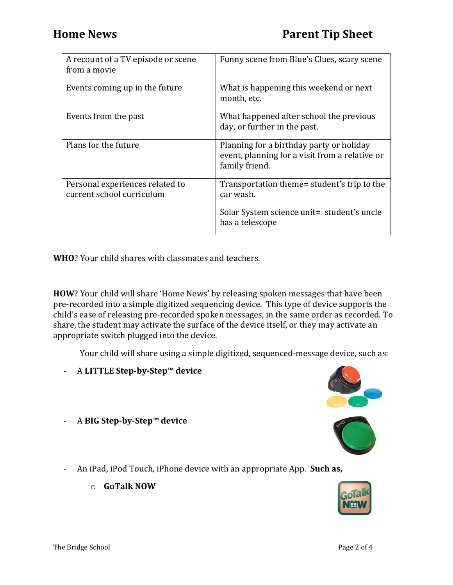| A recount of a TV episode or scene<br>from a movie           | Funny scene from Blue's Clues, scary scene                                                                   |
|--------------------------------------------------------------|--------------------------------------------------------------------------------------------------------------|
| Events coming up in the future                               | What is happening this weekend or next<br>month, etc.                                                        |
| Events from the past                                         | What happened after school the previous<br>day, or further in the past.                                      |
| Plans for the future                                         | Planning for a birthday party or holiday<br>event, planning for a visit from a relative or<br>family friend. |
| Personal experiences related to<br>current school curriculum | Transportation theme= student's trip to the<br>car wash.                                                     |
|                                                              | Solar System science unit= student's uncle<br>has a telescope                                                |

**WHO**? Your child shares with classmates and teachers.

**HOW**? Your child will share 'Home News' by releasing spoken messages that have been pre-recorded into a simple digitized sequencing device. This type of device supports the child's ease of releasing pre-recorded spoken messages, in the same order as recorded. To share, the student may activate the surface of the device itself, or they may activate an appropriate switch plugged into the device.

Your child will share using a simple digitized, sequenced-message device, such as:

- A **LITTLE Step-by-Step™ device**
- A **BIG Step-by-Step™ device**





- An iPad, iPod Touch, iPhone device with an appropriate App. **Such as,** 
	- o **GoTalk NOW**

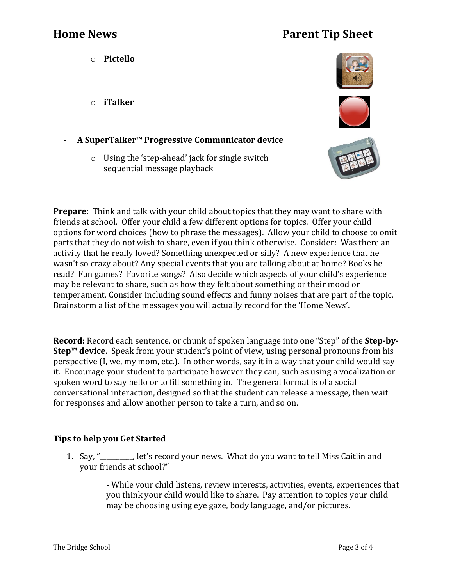## **Home News Parent Tip Sheet**

o **Pictello** 

o **iTalker**

- **A SuperTalker™ Progressive Communicator device**
	- $\circ$  Using the 'step-ahead' jack for single switch sequential message playback







**Prepare:** Think and talk with your child about topics that they may want to share with friends at school. Offer your child a few different options for topics. Offer your child options for word choices (how to phrase the messages). Allow your child to choose to omit parts that they do not wish to share, even if you think otherwise. Consider: Was there an activity that he really loved? Something unexpected or silly? A new experience that he wasn't so crazy about? Any special events that you are talking about at home? Books he read? Fun games? Favorite songs? Also decide which aspects of your child's experience may be relevant to share, such as how they felt about something or their mood or temperament. Consider including sound effects and funny noises that are part of the topic. Brainstorm a list of the messages you will actually record for the 'Home News'.

**Record:** Record each sentence, or chunk of spoken language into one "Step" of the **Step-by-Step™ device.** Speak from your student's point of view, using personal pronouns from his perspective (I, we, my mom, etc.). In other words, say it in a way that your child would say it. Encourage your student to participate however they can, such as using a vocalization or spoken word to say hello or to fill something in. The general format is of a social conversational interaction, designed so that the student can release a message, then wait for responses and allow another person to take a turn, and so on.

## **Tips** to help you Get Started

1. Say, "
let's record your news. What do you want to tell Miss Caitlin and your friends at school?"

> - While your child listens, review interests, activities, events, experiences that you think your child would like to share. Pay attention to topics your child may be choosing using eye gaze, body language, and/or pictures.